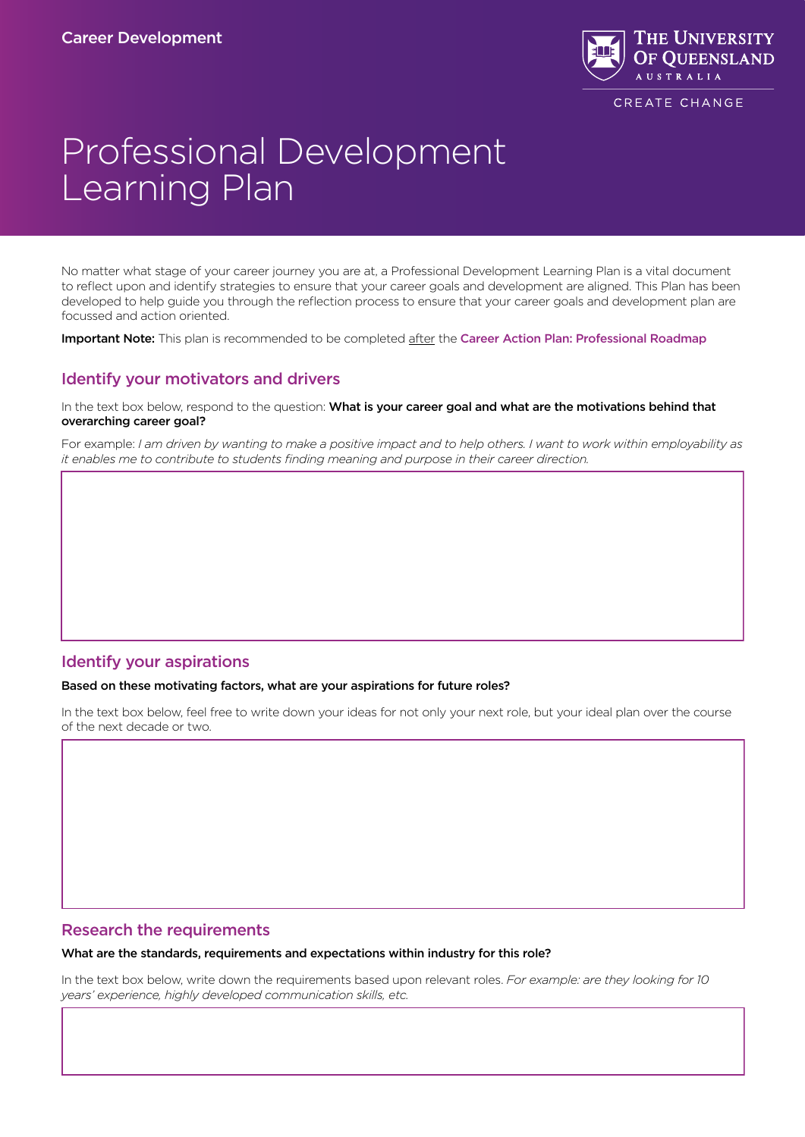

# Professional Development Learning Plan

No matter what stage of your career journey you are at, a Professional Development Learning Plan is a vital document to reflect upon and identify strategies to ensure that your career goals and development are aligned. This Plan has been developed to help guide you through the reflection process to ensure that your career goals and development plan are focussed and action oriented.

Important Note: This plan is recommended to be completed after the [Career Action Plan: Professional Roadmap](https://employability.uq.edu.au/files/179264/SEED-Careers-Factsheet-CareerActionPlan%20-%20FINAL.pdf)

## Identify your motivators and drivers

In the text box below, respond to the question: What is your career goal and what are the motivations behind that overarching career goal?

For example: *I am driven by wanting to make a positive impact and to help others. I want to work within employability as it enables me to contribute to students finding meaning and purpose in their career direction.*

## Identify your aspirations

#### Based on these motivating factors, what are your aspirations for future roles?

In the text box below, feel free to write down your ideas for not only your next role, but your ideal plan over the course of the next decade or two.

## Research the requirements

#### What are the standards, requirements and expectations within industry for this role?

In the text box below, write down the requirements based upon relevant roles. *For example: are they looking for 10 years' experience, highly developed communication skills, etc.*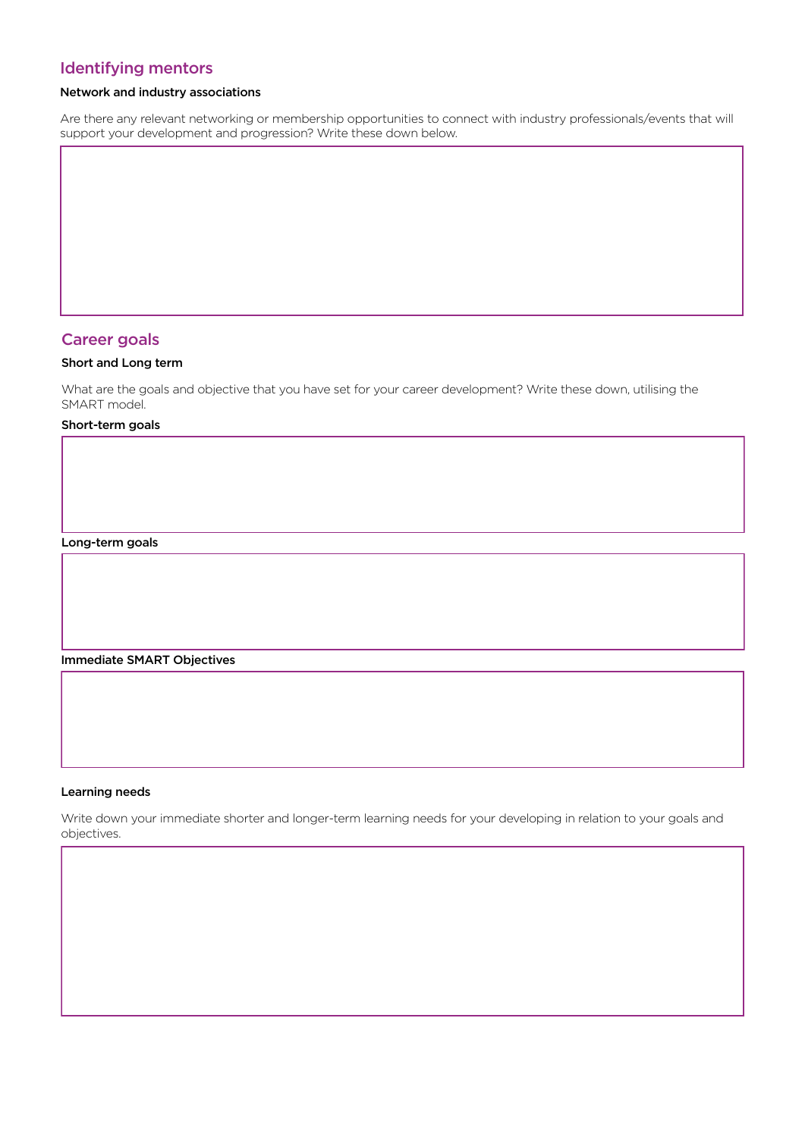# Identifying mentors

## Network and industry associations

Are there any relevant networking or membership opportunities to connect with industry professionals/events that will support your development and progression? Write these down below.

## Career goals

## Short and Long term

What are the goals and objective that you have set for your career development? Write these down, utilising the SMART model.

### Short-term goals

Long-term goals

Immediate SMART Objectives

#### Learning needs

Write down your immediate shorter and longer-term learning needs for your developing in relation to your goals and objectives.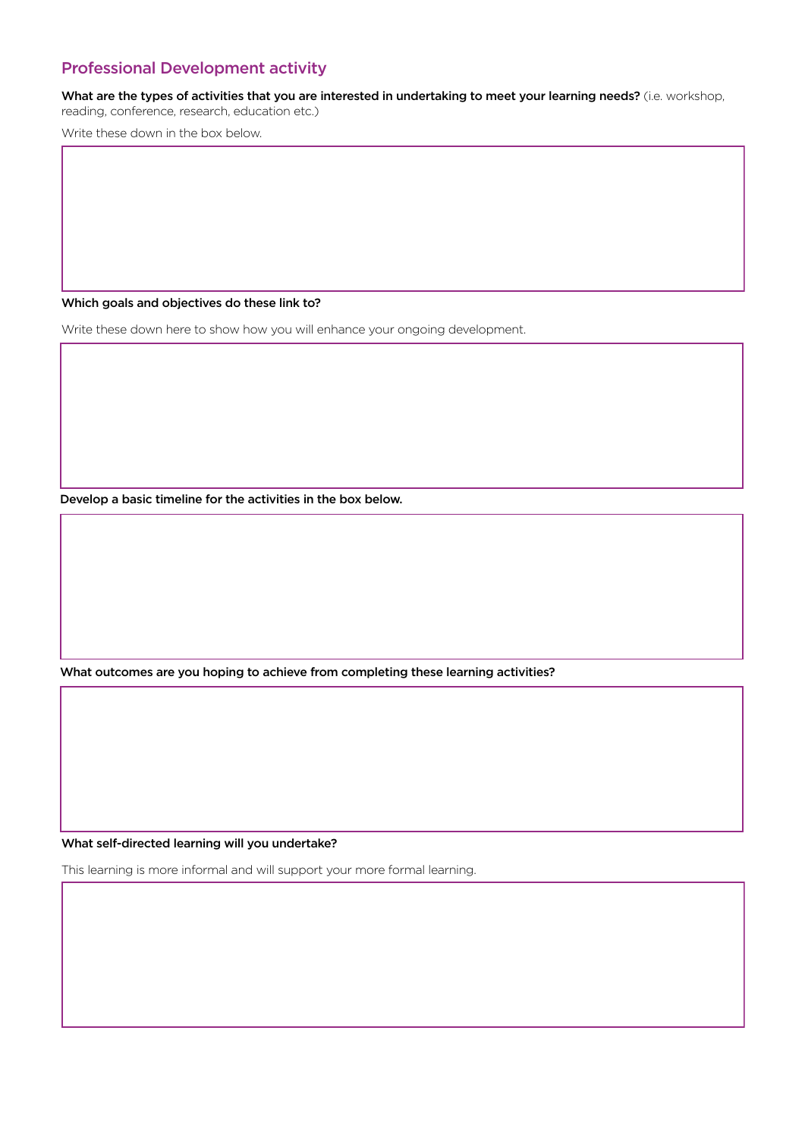# Professional Development activity

What are the types of activities that you are interested in undertaking to meet your learning needs? (i.e. workshop, reading, conference, research, education etc.)

Write these down in the box below.

Which goals and objectives do these link to?

Write these down here to show how you will enhance your ongoing development.

Develop a basic timeline for the activities in the box below.

What outcomes are you hoping to achieve from completing these learning activities?

What self-directed learning will you undertake?

This learning is more informal and will support your more formal learning.